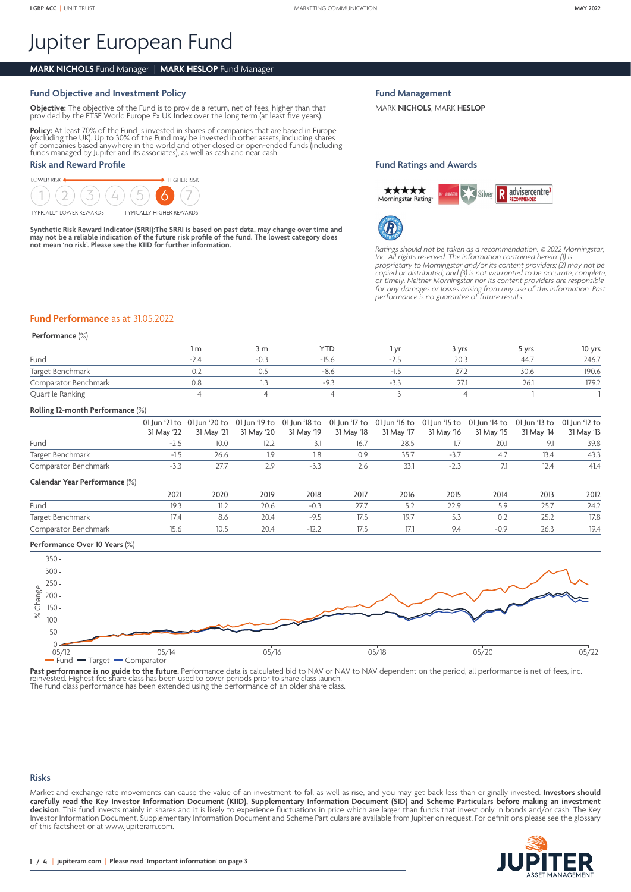# Jupiter European Fund

# **MARK NICHOLS** Fund Manager | **MARK HESLOP** Fund Manager

# **Fund Objective and Investment Policy**

**Objective:** The objective of the Fund is to provide a return, net of fees, higher than that provided by the FTSE World Europe Ex UK Index over the long term (at least five years).

**Policy:** At least 70% of the Fund is invested in shares of companies that are based in Europe<br>(excluding the UK). Up to 30% of the Fund may be invested in other assets, including shares<br>of companies based anywhere in the funds managed by Jupiter and its associates), as well as cash and near cash.

# **Risk and Reward Profile**

LOWER RISK  $\blacktriangleright$  HIGHER RISK

**TYPICALLY LOWER REWARDS** 

**TYPICALLY HIGHER REWARDS** 

**Synthetic Risk Reward Indicator (SRRI):The SRRI is based on past data, may change over time and may not be a reliable indication of the future risk profile of the fund. The lowest category does not mean 'no risk'. Please see the KIID for further information.**

**Fund Management**

MARK **NICHOLS**, MARK **HESLOP**

### **Fund Ratings and Awards**





*Ratings should not be taken as a recommendation.* © *2022 Morningstar, Inc. All rights reserved. The information contained herein: (1) is proprietary to Morningstar and/or its content providers; (2) may not be copied or distributed; and (3) is not warranted to be accurate, complete, or timely. Neither Morningstar nor its content providers are responsible for any damages or losses arising from any use of this information. Past performance is no guarantee of future results.*

## **Fund Performance** as at 31.05.2022

#### **Performance** (%)

|                      | m | 3 m    | <b>YTD</b> | vrs  | S Vrs | 10 yrs |
|----------------------|---|--------|------------|------|-------|--------|
| Fund                 |   | $-0$ . | $-15.6$    | 20.3 | 44.7  | 246.7  |
| Target Benchmark     |   | 0.5    | -ö.c       | 27   | 30.6  | 190.6  |
| Comparator Benchmark |   |        | -u         | 27.  | 26.   | 179.2  |
| Quartile Ranking     |   |        |            |      |       |        |

#### **Rolling 12-month Performance** (%)

|                               | 31 May '22 | 01 Jun '21 to 01 Jun '20 to 01 Jun '19 to 01 Jun '18 to 01 Jun '17 to 01 Jun '16 to 01 Jun '15 to 01 Jun '14 to 01 Jun '13 to 01 Jun '12 to<br>31 May '21 | 31 May '20 | 31 May '19 | 31 May '18 | 31 May '17 | 31 May '16 | 31 May '15 | 31 May '14 | 31 May '13 |
|-------------------------------|------------|-----------------------------------------------------------------------------------------------------------------------------------------------------------|------------|------------|------------|------------|------------|------------|------------|------------|
| Fund                          | $-2.5$     | 10.0                                                                                                                                                      | 12.2       |            | 16.7       | 28.5       |            | 20.1       | 9.1        | 39.8       |
| Target Benchmark              | $-1.5$     | 26.6                                                                                                                                                      | 1.9        | 1.8        | 0.9        | 35.7       | $-3.7$     | 4.7        | 13.4       | 43.3       |
| Comparator Benchmark          | $-3.3$     | 27.7                                                                                                                                                      | 2.9        | $-3.3$     | 2.6        | 33.1       | $-2.3$     |            | 12.4       | 41.4       |
| Calendar Year Performance (%) |            |                                                                                                                                                           |            |            |            |            |            |            |            |            |
|                               | 2021       | 2020                                                                                                                                                      | 2019       | 2018       | 2017       | 2016       | 2015       | 2014       | 2013       | 2012       |
|                               |            |                                                                                                                                                           |            |            |            |            |            |            |            |            |

Fund 19.3 11.2 20.6 -0.3 27.7 5.2 22.9 5.9 25.7 24.2 Target Benchmark 17.4 8.6 20.4 -9.5 17.5 19.7 5.3 0.2 25.2 17.8

# Comparator Benchmark 15.6 10.5 20.4 -12.2 17.5 17.1 9.4 -0.9 26.3 19.4

# **Performance Over 10 Years** (%)



Past performance is no guide to the future. Performance data is calculated bid to NAV or NAV to NAV dependent on the period, all performance is net of fees, inc. The fund class here the share class has been used to cover periods prior to share class launch.<br>The fund class performance has been extended using the performance of an older share class.

#### **Risks**

Market and exchange rate movements can cause the value of an investment to fall as well as rise, and you may get back less than originally invested. **Investors should carefully read the Key Investor Information Document (KIID), Supplementary Information Document (SID) and Scheme Particulars before making an investment decision**. This fund invests mainly in shares and it is likely to experience fluctuations in price which are larger than funds that invest only in bonds and/or cash. The Key Investor Information Document, Supplementary Information Document and Scheme Particulars are available from Jupiter on request. For definitions please see the glossary of this factsheet or at [www.jupiteram.com.](www.jupiteram.com)

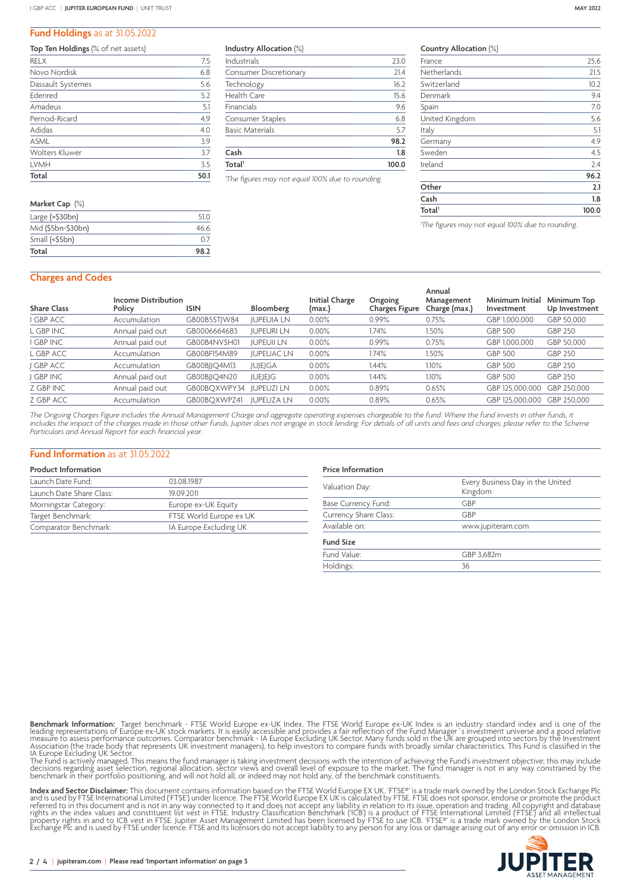#### **Fund Holdings** as at 31.05.2022

#### **Top Ten Holdings** (% of net assets)

| <b>RELX</b>       | 7.5  |
|-------------------|------|
| Novo Nordisk      | 6.8  |
| Dassault Systemes | 5.6  |
| Edenred           | 5.2  |
| Amadeus           | 5.1  |
| Pernod-Ricard     | 4.9  |
| Adidas            | 4.0  |
| <b>ASML</b>       | 3.9  |
| Wolters Kluwer    | 3.7  |
| LVMH              | 3.5  |
| Total             | 50.1 |
|                   |      |

| Market Cap $(\%)$          |      |
|----------------------------|------|
| Large $(>\frac{530bn}{n})$ | 51 Q |
| Mid (\$5bn-\$30bn)         | 46.6 |
| Small (<\$5bn)             | 07   |
| Total                      | 98.2 |
|                            |      |

#### **Industry Allocation** (%)

| Total <sup>1</sup>            | 100.0 |  |  |
|-------------------------------|-------|--|--|
| Cash                          | 1.8   |  |  |
|                               | 98.2  |  |  |
| <b>Basic Materials</b>        | 5.7   |  |  |
| Consumer Staples              | 6.8   |  |  |
| Financials                    | 9.6   |  |  |
| Health Care                   | 15.6  |  |  |
| Technology                    | 16.2  |  |  |
| <b>Consumer Discretionary</b> | 21.4  |  |  |
| Industrials                   | 23.0  |  |  |

*1 The figures may not equal 100% due to rounding.*

#### **Country Allocation** (%)

| Total <sup>1</sup> | 100.0 |
|--------------------|-------|
| Cash               | 1.8   |
| Other              | 2.1   |
|                    | 96.2  |
| Ireland            | 2.4   |
| Sweden             | 4.5   |
| Germany            | 4.9   |
| Italy              | 5.1   |
| United Kingdom     | 5.6   |
| Spain              | 7.0   |
| Denmark            | 9.4   |
| Switzerland        | 10.2  |
| Netherlands        | 21.5  |
| France             | 25.6  |

*1 The figures may not equal 100% due to rounding.*

#### **Charges and Codes**

| <b>Share Class</b> | <b>Income Distribution</b><br>Policy | <b>ISIN</b>  | Bloomberg         | <b>Initial Charge</b><br>(max.) | Ongoing<br>Charges Figure | Annual<br>Management<br>Charge (max.) | Minimum Initial<br>Investment | Minimum Top<br>Up Investment |
|--------------------|--------------------------------------|--------------|-------------------|---------------------------------|---------------------------|---------------------------------------|-------------------------------|------------------------------|
| <b>GBP ACC</b>     | Accumulation                         | GB00B5STJW84 | <b>JUPEUIA LN</b> | 0.00%                           | 0.99%                     | 0.75%                                 | GBP 1,000,000                 | GBP 50,000                   |
| L GBP INC          | Annual paid out                      | GB0006664683 | <b>JUPEURI LN</b> | 0.00%                           | 1.74%                     | 1.50%                                 | <b>GBP 500</b>                | <b>GBP 250</b>               |
| <b>GBP INC</b>     | Annual paid out                      | GB00B4NVSH01 | <b>JUPEUII LN</b> | 0.00%                           | 0.99%                     | 0.75%                                 | GBP 1,000,000                 | GBP 50,000                   |
| L GBP ACC          | Accumulation                         | GB00BF154M89 | <b>IUPEUACLN</b>  | 0.00%                           | 1.74%                     | 1.50%                                 | <b>GBP 500</b>                | <b>GBP 250</b>               |
| <b>GBP ACC</b>     | Accumulation                         | GB00BJJQ4M13 | <b>JUJEJGA</b>    | 0.00%                           | 1.44%                     | 1.10%                                 | <b>GBP 500</b>                | <b>GBP 250</b>               |
| <b>GBP INC</b>     | Annual paid out                      | GB00BJJQ4N20 | <b>JUEJEJG</b>    | $0.00\%$                        | l.44%                     | 1.10%                                 | <b>GBP 500</b>                | <b>GBP 250</b>               |
| Z GBP INC          | Annual paid out                      | GB00BOXWPY34 | <b>JUPEUZI LN</b> | $0.00\%$                        | 0.89%                     | 0.65%                                 | GBP 125.000.000               | GBP 250,000                  |
| Z GBP ACC          | Accumulation                         | GB00BOXWPZ41 | <b>JUPEUZA LN</b> | $0.00\%$                        | 0.89%                     | 0.65%                                 | GBP 125,000,000               | GBP 250,000                  |

*The Ongoing Charges Figure includes the Annual Management Charge and aggregate operating expenses chargeable to the fund. Where the fund invests in other funds, it includes the impact of the charges made in those other funds. Jupiter does not engage in stock lending. For details of all units and fees and charges, please refer to the Scheme Particulars and Annual Report for each financial year.*

#### **Fund Information** as at 31.05.2022

## **Product Information**

| Launch Date Fund:        | 03.08.1987              |
|--------------------------|-------------------------|
| Launch Date Share Class: | 19092011                |
| Morningstar Category:    | Europe ex-UK Equity     |
| Target Benchmark:        | FTSE World Europe ex UK |
| Comparator Benchmark:    | IA Europe Excluding UK  |

# **Price Information** Valuation Day: Every Business Day in the United Kingdom Base Currency Fund: GBP Currency Share Class: GBP Available on: www.jupiteram.com **Fund Size** Fund Value: GBP 3,682m<br>Holdings: 36 Holdings:

**Benchmark Information:** Target benchmark - FTSE World Europe ex-UK Index. The FTSE World Europe ex-UK Index is an industry standard index and is one of the leading representations of Europe CNL Stock markets. It is easily

**Index and Sector Disclaimer:** This document contains information based on the FTSE World Europe EX UK. 'FTSE®' is a trade mark owned by the London Stock Exchange Plc<br>and is used by FTSE International Limited ('FTSE') unde

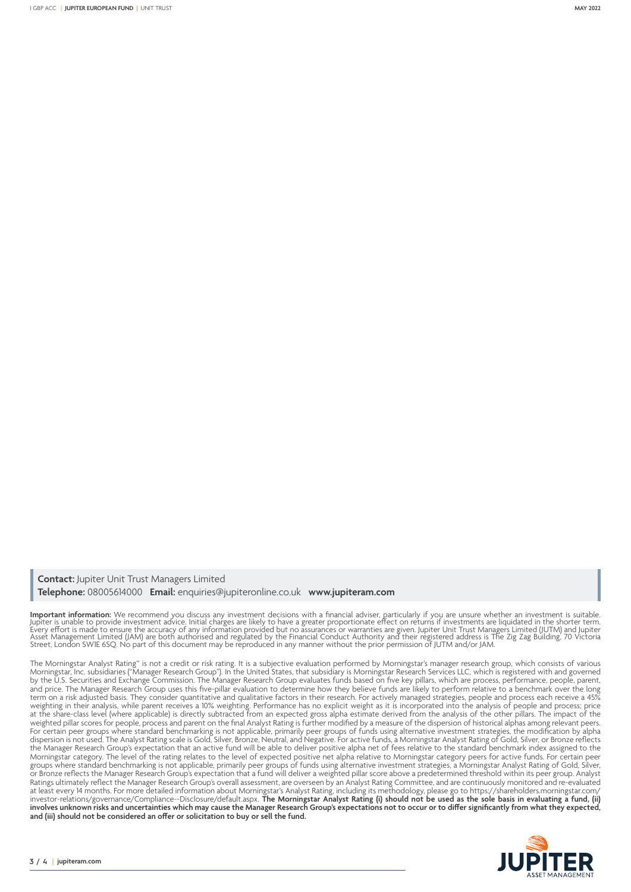**Contact:** Jupiter Unit Trust Managers Limited **Telephone:** 08005614000 **Email:** enquiries@jupiteronline.co.uk **www.jupiteram.com**

**Important information:** We recommend you discuss any investment decisions with a financial adviser, particularly if you are unsure whether an investment is suitable.<br>Jupiter is unable to provide investment advice. Initial

The Morningstar Analyst Rating™ is not a credit or risk rating. It is a subjective evaluation performed by Morningstar's manager research group, which consists of various Morningstar, Inc. subsidiaries ("Manager Research Group"). In the United States, that subsidiary is Morningstar Research Services LLC, which is registered with and governed by the U.S. Securities and Exchange Commission. The Manager Research Group evaluates funds based on five key pillars, which are process, performance, people, parent, and price. The Manager Research Group uses this five-pillar evaluation to determine how they believe funds are likely to perform relative to a benchmark over the long term on a risk adjusted basis. They consider quantitative and qualitative factors in their research. For actively managed strategies, people and process each receive a 45% weighting in their analysis, while parent receives a 10% weighting. Performance has no explicit weight as it is incorporated into the analysis of people and process; price at the share-class level (where applicable) is directly subtracted from an expected gross alpha estimate derived from the analysis of the other pillars. The impact of the weighted pillar scores for people, process and parent on the final Analyst Rating is further modified by a measure of the dispersion of historical alphas among relevant peers. For certain peer groups where standard benchmarking is not applicable, primarily peer groups of funds using alternative investment strategies, the modification by alpha dispersion is not used. The Analyst Rating scale is Gold, Silver, Bronze, Neutral, and Negative. For active funds, a Morningstar Analyst Rating of Gold, Silver, or Bronze reflects the Manager Research Group's expectation that an active fund will be able to deliver positive alpha net of fees relative to the standard benchmark index assigned to the Morningstar category. The level of the rating relates to the level of expected positive net alpha relative to Morningstar category peers for active funds. For certain peer groups where standard benchmarking is not applicable, primarily peer groups of funds using alternative investment strategies, a Morningstar Analyst Rating of Gold, Silver, or Bronze reflects the Manager Research Group's expectation that a fund will deliver a weighted pillar score above a predetermined threshold within its peer group. Analyst Ratings ultimately reflect the Manager Research Group's overall assessment, are overseen by an Analyst Rating Committee, and are continuously monitored and re-evaluated at least every 14 months. For more detailed information about Morningstar's Analyst Rating, including its methodology, please go to [https://shareholders.morningstar.com/](https://eur02.safelinks.protection.outlook.com/?url=https%3A%2F%2Fshareholders.morningstar.com%2Finvestor-relations%2Fgovernance%2F&data=04%7C01%7Clucy.wood%40jupiteram.com%7C4038554a5e5f4bce49a108d99ae2adbe%7C70e1a0b75bf5416b96c4f244fca5ae53%7C0%7C1%7C637711123631073812%7CUnknown%7CTWFpbGZsb3d8eyJWIjoiMC4wLjAwMDAiLCJQIjoiV2luMzIiLCJBTiI6Ik1haWwiLCJXVCI6Mn0%3D%7C3000&sdata=jGoqhWfMQrXNvbn1Dtx%2Bj53uujWg4rA%2FrQuTwm6SUnI%3D&reserved=0) [investor-relations/governance/C](https://eur02.safelinks.protection.outlook.com/?url=https%3A%2F%2Fshareholders.morningstar.com%2Finvestor-relations%2Fgovernance%2F&data=04%7C01%7Clucy.wood%40jupiteram.com%7C4038554a5e5f4bce49a108d99ae2adbe%7C70e1a0b75bf5416b96c4f244fca5ae53%7C0%7C1%7C637711123631073812%7CUnknown%7CTWFpbGZsb3d8eyJWIjoiMC4wLjAwMDAiLCJQIjoiV2luMzIiLCJBTiI6Ik1haWwiLCJXVCI6Mn0%3D%7C3000&sdata=jGoqhWfMQrXNvbn1Dtx%2Bj53uujWg4rA%2FrQuTwm6SUnI%3D&reserved=0)ompliance--Disclosure/default.aspx. **The Morningstar Analyst Rating (i) should not be used as the sole basis in evaluating a fund, (ii) involves unknown risks and uncertainties which may cause the Manager Research Group's expectations not to occur or to differ significantly from what they expected, and (iii) should not be considered an offer or solicitation to buy or sell the fund.**